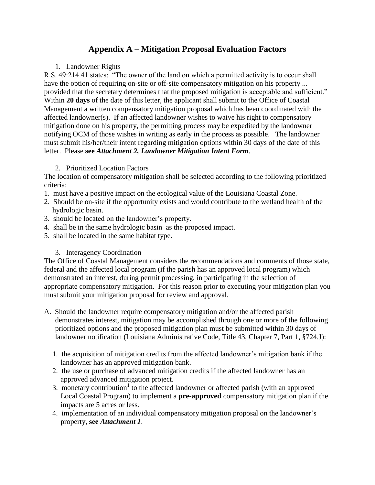## **Appendix A – Mitigation Proposal Evaluation Factors**

## 1. Landowner Rights

R.S. 49:214.41 states: "The owner of the land on which a permitted activity is to occur shall have the option of requiring on-site or off-site compensatory mitigation on his property ... provided that the secretary determines that the proposed mitigation is acceptable and sufficient." Within **20 days** of the date of this letter, the applicant shall submit to the Office of Coastal Management a written compensatory mitigation proposal which has been coordinated with the affected landowner(s). If an affected landowner wishes to waive his right to compensatory mitigation done on his property, the permitting process may be expedited by the landowner notifying OCM of those wishes in writing as early in the process as possible. The landowner must submit his/her/their intent regarding mitigation options within 30 days of the date of this letter. Please **see** *Attachment 2, Landowner Mitigation Intent Form*.

## 2. Prioritized Location Factors

The location of compensatory mitigation shall be selected according to the following prioritized criteria:

- 1. must have a positive impact on the ecological value of the Louisiana Coastal Zone.
- 2. Should be on-site if the opportunity exists and would contribute to the wetland health of the hydrologic basin.
- 3. should be located on the landowner's property.
- 4. shall be in the same hydrologic basin as the proposed impact.
- 5. shall be located in the same habitat type.

## 3. Interagency Coordination

The Office of Coastal Management considers the recommendations and comments of those state, federal and the affected local program (if the parish has an approved local program) which demonstrated an interest, during permit processing, in participating in the selection of appropriate compensatory mitigation. For this reason prior to executing your mitigation plan you must submit your mitigation proposal for review and approval.

- A. Should the landowner require compensatory mitigation and/or the affected parish demonstrates interest, mitigation may be accomplished through one or more of the following prioritized options and the proposed mitigation plan must be submitted within 30 days of landowner notification (Louisiana Administrative Code, Title 43, Chapter 7, Part 1, §724.J):
	- 1. the acquisition of mitigation credits from the affected landowner's mitigation bank if the landowner has an approved mitigation bank.
	- 2. the use or purchase of advanced mitigation credits if the affected landowner has an approved advanced mitigation project.
	- 3. monetary contribution<sup>1</sup> to the affected landowner or affected parish (with an approved Local Coastal Program) to implement a **pre-approved** compensatory mitigation plan if the impacts are 5 acres or less.
	- 4. implementation of an individual compensatory mitigation proposal on the landowner's property, **see** *Attachment 1*.